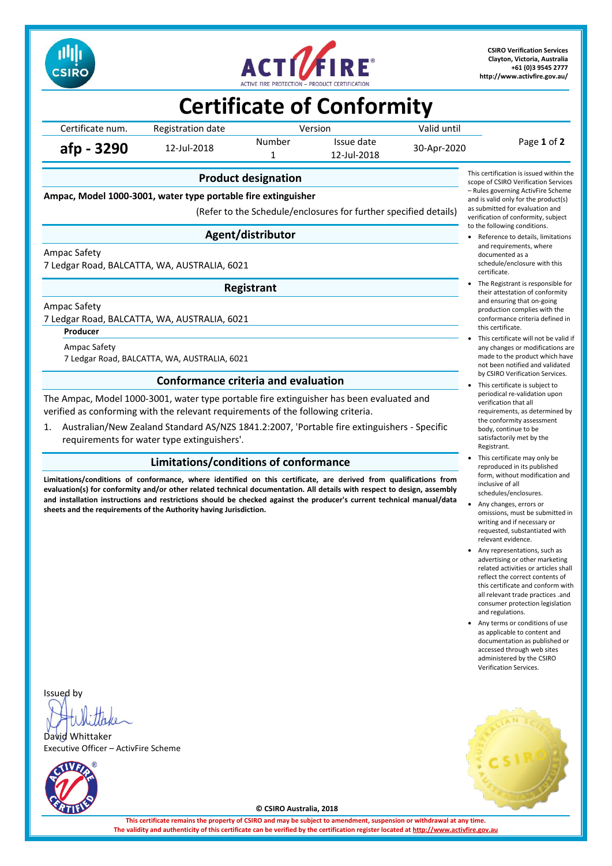



**CSIRO Verification Services Clayton, Victoria, Australia +61 (0)3 9545 2777 <http://www.activfire.gov.au/>**

## **Certificate of Conformity**

Certificate num. Registration date Version Version Valid until Page **1** of **2 afp - 3290** 12-Jul-2018 Number Issue date 30-Apr-2020<br>1 12-Jul-2018 12-Jul-2018

**Product designation**

**Ampac, Model 1000-3001, water type portable fire extinguisher**

(Refer to the Schedule/enclosures for further specified details)

### **Agent/distributor**

Ampac Safety

7 Ledgar Road, BALCATTA, WA, AUSTRALIA, 6021

**Registrant**

Ampac Safety

7 Ledgar Road, BALCATTA, WA, AUSTRALIA, 6021

**Producer**

Ampac Safety 7 Ledgar Road, BALCATTA, WA, AUSTRALIA, 6021

### **Conformance criteria and evaluation**

The Ampac, Model 1000-3001, water type portable fire extinguisher has been evaluated and verified as conforming with the relevant requirements of the following criteria.

1. Australian/New Zealand Standard AS/NZS 1841.2:2007, 'Portable fire extinguishers - Specific requirements for water type extinguishers'.

### **Limitations/conditions of conformance**

**Limitations/conditions of conformance, where identified on this certificate, are derived from qualifications from evaluation(s) for conformity and/or other related technical documentation. All details with respect to design, assembly and installation instructions and restrictions should be checked against the producer's current technical manual/data sheets and the requirements of the Authority having Jurisdiction.**



- Reference to details, limitations and requirements, where documented as a schedule/enclosure with this certificate.
- The Registrant is responsible for their attestation of conformity and ensuring that on-going production complies with the conformance criteria defined in this certificate.
- This certificate will not be valid if any changes or modifications are made to the product which have not been notified and validated by CSIRO Verification Services.
- This certificate is subject to periodical re-validation upon verification that all requirements, as determined by the conformity assessment body, continue to be satisfactorily met by the Registrant.
- This certificate may only be reproduced in its published form, without modification and inclusive of all schedules/enclosures.
- Any changes, errors or omissions, must be submitted in writing and if necessary or requested, substantiated with relevant evidence.
- Any representations, such as advertising or other marketing related activities or articles shall reflect the correct contents of this certificate and conform with all relevant trade practices .and consumer protection legislation and regulations.
- Any terms or conditions of use as applicable to content and documentation as published or accessed through web sites administered by the CSIRO Verification Services.

Issued by

David Whittaker Executive Officer – ActivFire Scheme





**© CSIRO Australia, 2018**

**This certificate remains the property of CSIRO and may be subject to amendment, suspension or withdrawal at any time.** The validity and authenticity of this certificate can be verified by the certification register located at http://www.activ